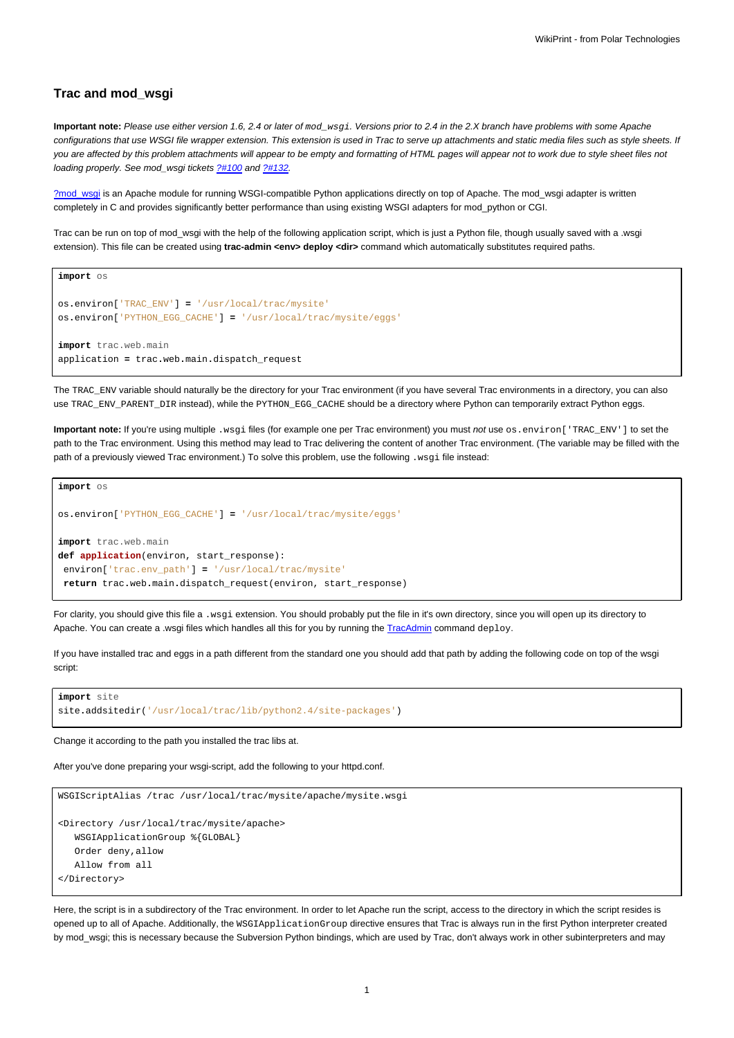## **Trac and mod\_wsgi**

**Important note:** Please use either version 1.6, 2.4 or later of mod\_wsgi. Versions prior to 2.4 in the 2.X branch have problems with some Apache configurations that use WSGI file wrapper extension. This extension is used in Trac to serve up attachments and static media files such as style sheets. If you are affected by this problem attachments will appear to be empty and formatting of HTML pages will appear not to work due to style sheet files not loading properly. See mod\_wsgi tickets [?#100](http://code.google.com/p/modwsgi/issues/detail?id=100) and [?#132](http://code.google.com/p/modwsgi/issues/detail?id=132).

[?mod\\_wsgi](http://code.google.com/p/modwsgi/) is an Apache module for running WSGI-compatible Python applications directly on top of Apache. The mod\_wsgi adapter is written completely in C and provides significantly better performance than using existing WSGI adapters for mod\_python or CGI.

Trac can be run on top of mod\_wsgi with the help of the following application script, which is just a Python file, though usually saved with a .wsgi extension). This file can be created using trac-admin <env> deploy <dir> command which automatically substitutes required paths.

```
import os
os.environ['TRAC_ENV'] = '/usr/local/trac/mysite'
os.environ['PYTHON_EGG_CACHE'] = '/usr/local/trac/mysite/eggs'
import trac.web.main
application = trac.web.main.dispatch_request
```
The TRAC\_ENV variable should naturally be the directory for your Trac environment (if you have several Trac environments in a directory, you can also use TRAC\_ENV\_PARENT\_DIR instead), while the PYTHON\_EGG\_CACHE should be a directory where Python can temporarily extract Python eggs.

**Important note:** If you're using multiple .wsgi files (for example one per Trac environment) you must not use os.environ['TRAC\_ENV'] to set the path to the Trac environment. Using this method may lead to Trac delivering the content of another Trac environment. (The variable may be filled with the path of a previously viewed Trac environment.) To solve this problem, use the following . wsqi file instead:

```
import os
os.environ['PYTHON_EGG_CACHE'] = '/usr/local/trac/mysite/eggs'
import trac.web.main
def application(environ, start_response):
environ['trac.env_path'] = '/usr/local/trac/mysite'
return trac.web.main.dispatch_request(environ, start_response)
```
For clarity, you should give this file a .wsgi extension. You should probably put the file in it's own directory, since you will open up its directory to Apache. You can create a .wsgi files which handles all this for you by running the [TracAdmin](https://meteo.unican.es/trac/wiki/TracAdmin) command deploy.

If you have installed trac and eggs in a path different from the standard one you should add that path by adding the following code on top of the wsgi script:

```
import site
site.addsitedir('/usr/local/trac/lib/python2.4/site-packages')
```
Change it according to the path you installed the trac libs at.

After you've done preparing your wsgi-script, add the following to your httpd.conf.

```
WSGIScriptAlias /trac /usr/local/trac/mysite/apache/mysite.wsgi
<Directory /usr/local/trac/mysite/apache>
  WSGIApplicationGroup %{GLOBAL}
  Order deny,allow
  Allow from all
</Directory>
```
Here, the script is in a subdirectory of the Trac environment. In order to let Apache run the script, access to the directory in which the script resides is opened up to all of Apache. Additionally, the WSGIApplicationGroup directive ensures that Trac is always run in the first Python interpreter created by mod\_wsgi; this is necessary because the Subversion Python bindings, which are used by Trac, don't always work in other subinterpreters and may